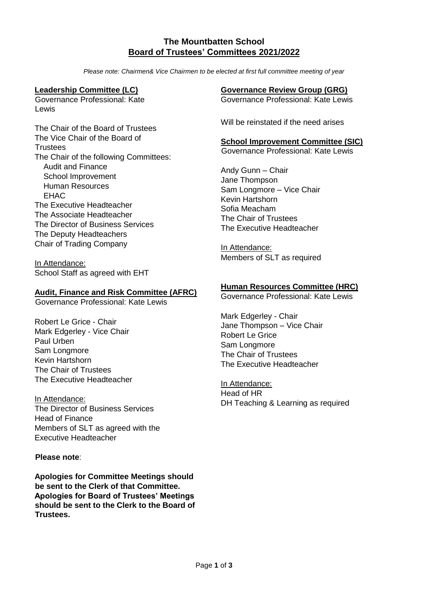# **The Mountbatten School Board of Trustees' Committees 2021/2022**

*Please note: Chairmen& Vice Chairmen to be elected at first full committee meeting of year*

### **Leadership Committee (LC)**

Governance Professional: Kate Lewis

The Chair of the Board of Trustees The Vice Chair of the Board of **Trustees** The Chair of the following Committees: Audit and Finance School Improvement Human Resources EHAC The Executive Headteacher The Associate Headteacher The Director of Business Services The Deputy Headteachers Chair of Trading Company

In Attendance: School Staff as agreed with EHT

#### **Audit, Finance and Risk Committee (AFRC)**

Governance Professional: Kate Lewis

Robert Le Grice - Chair Mark Edgerley - Vice Chair Paul Urben Sam Longmore Kevin Hartshorn The Chair of Trustees The Executive Headteacher

In Attendance: The Director of Business Services Head of Finance Members of SLT as agreed with the Executive Headteacher

#### **Please note**:

**Apologies for Committee Meetings should be sent to the Clerk of that Committee. Apologies for Board of Trustees' Meetings should be sent to the Clerk to the Board of Trustees.** 

## **Governance Review Group (GRG)**

Governance Professional: Kate Lewis

Will be reinstated if the need arises

### **School Improvement Committee (SIC)**

Governance Professional: Kate Lewis

Andy Gunn – Chair Jane Thompson Sam Longmore – Vice Chair Kevin Hartshorn Sofia Meacham The Chair of Trustees The Executive Headteacher

In Attendance: Members of SLT as required

## **Human Resources Committee (HRC)**

Governance Professional: Kate Lewis

Mark Edgerley - Chair Jane Thompson – Vice Chair Robert Le Grice Sam Longmore The Chair of Trustees The Executive Headteacher

In Attendance: Head of HR DH Teaching & Learning as required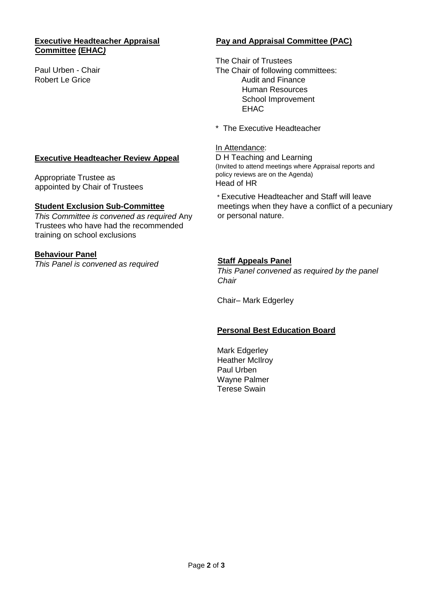#### **Executive Headteacher Appraisal Committee (EHAC***)*

Paul Urben - Chair Robert Le Grice

# **Pay and Appraisal Committee (PAC)**

The Chair of Trustees The Chair of following committees: Audit and Finance Human Resources School Improvement EHAC

\* The Executive Headteacher

### In Attendance:

D H Teaching and Learning (Invited to attend meetings where Appraisal reports and policy reviews are on the Agenda) Head of HR

\* Executive Headteacher and Staff will leave meetings when they have a conflict of a pecuniary or personal nature.

**Staff Appeals Panel** *This Panel convened as required by the panel Chair* 

Chair– Mark Edgerley

# **Personal Best Education Board**

Mark Edgerley Heather McIlroy Paul Urben Wayne Palmer Terese Swain

# **Executive Headteacher Review Appeal**

Appropriate Trustee as appointed by Chair of Trustees

## **Student Exclusion Sub-Committee**

*This Committee is convened as required* Any Trustees who have had the recommended training on school exclusions

# **Behaviour Panel**

*This Panel is convened as required*